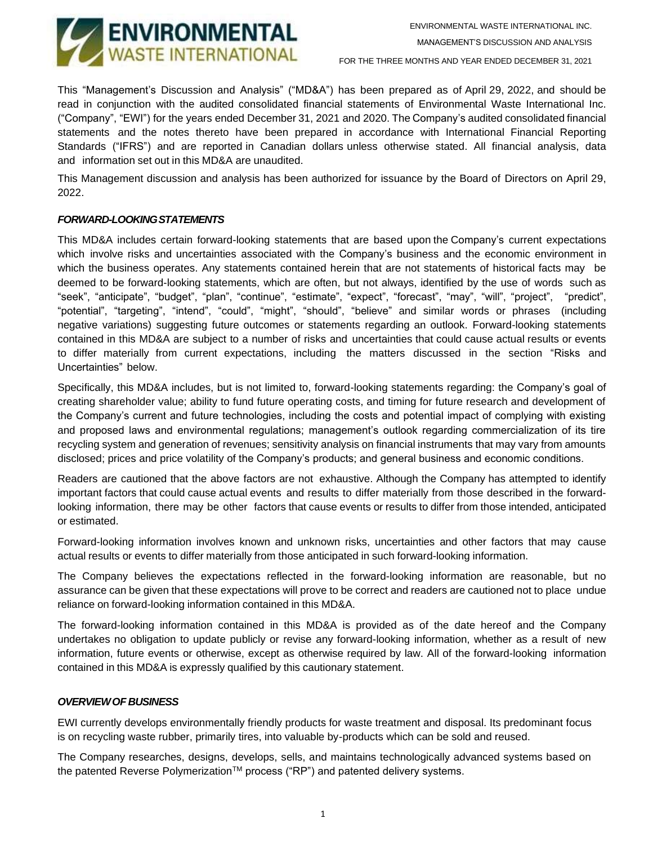

This "Management's Discussion and Analysis" ("MD&A") has been prepared as of April 29, 2022, and should be read in conjunction with the audited consolidated financial statements of Environmental Waste International Inc. ("Company", "EWI") for the years ended December 31, 2021 and 2020. The Company's audited consolidated financial statements and the notes thereto have been prepared in accordance with International Financial Reporting Standards ("IFRS") and are reported in Canadian dollars unless otherwise stated. All financial analysis, data and information set out in this MD&A are unaudited.

This Management discussion and analysis has been authorized for issuance by the Board of Directors on April 29, 2022.

### *FORWARD-LOOKINGSTATEMENTS*

This MD&A includes certain forward-looking statements that are based upon the Company's current expectations which involve risks and uncertainties associated with the Company's business and the economic environment in which the business operates. Any statements contained herein that are not statements of historical facts may be deemed to be forward-looking statements, which are often, but not always, identified by the use of words such as "seek", "anticipate", "budget", "plan", "continue", "estimate", "expect", "forecast", "may", "will", "project", "predict", "potential", "targeting", "intend", "could", "might", "should", "believe" and similar words or phrases (including negative variations) suggesting future outcomes or statements regarding an outlook. Forward-looking statements contained in this MD&A are subject to a number of risks and uncertainties that could cause actual results or events to differ materially from current expectations, including the matters discussed in the section "Risks and Uncertainties" below.

Specifically, this MD&A includes, but is not limited to, forward-looking statements regarding: the Company's goal of creating shareholder value; ability to fund future operating costs, and timing for future research and development of the Company's current and future technologies, including the costs and potential impact of complying with existing and proposed laws and environmental regulations; management's outlook regarding commercialization of its tire recycling system and generation of revenues; sensitivity analysis on financial instruments that may vary from amounts disclosed; prices and price volatility of the Company's products; and general business and economic conditions.

Readers are cautioned that the above factors are not exhaustive. Although the Company has attempted to identify important factors that could cause actual events and results to differ materially from those described in the forwardlooking information, there may be other factors that cause events or results to differ from those intended, anticipated or estimated.

Forward-looking information involves known and unknown risks, uncertainties and other factors that may cause actual results or events to differ materially from those anticipated in such forward-looking information.

The Company believes the expectations reflected in the forward-looking information are reasonable, but no assurance can be given that these expectations will prove to be correct and readers are cautioned not to place undue reliance on forward-looking information contained in this MD&A.

The forward-looking information contained in this MD&A is provided as of the date hereof and the Company undertakes no obligation to update publicly or revise any forward-looking information, whether as a result of new information, future events or otherwise, except as otherwise required by law. All of the forward-looking information contained in this MD&A is expressly qualified by this cautionary statement.

#### *OVERVIEWOF BUSINESS*

EWI currently develops environmentally friendly products for waste treatment and disposal. Its predominant focus is on recycling waste rubber, primarily tires, into valuable by-products which can be sold and reused.

The Company researches, designs, develops, sells, and maintains technologically advanced systems based on the patented Reverse Polymerization™ process ("RP") and patented delivery systems.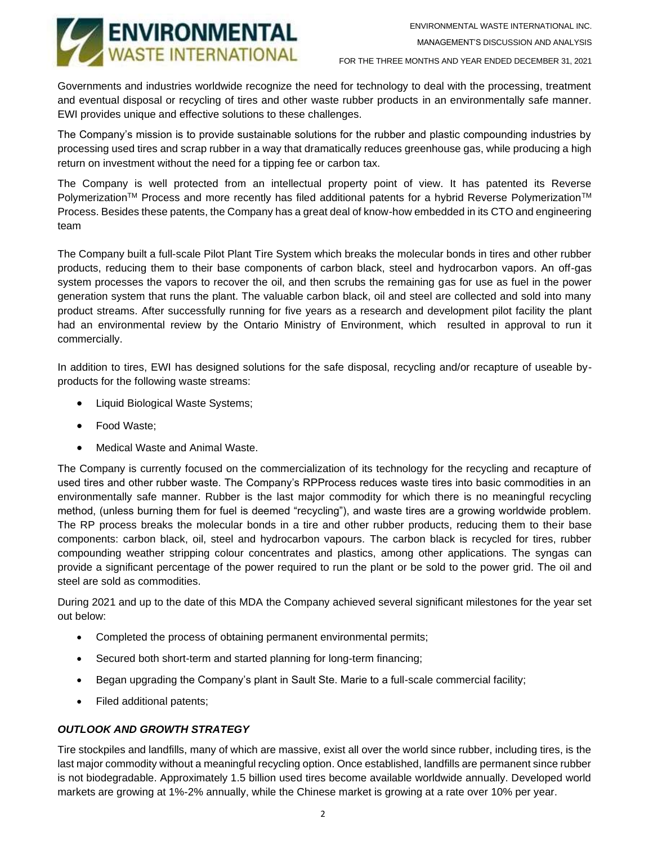ENVIRONMENTAL WASTE INTERNATIONAL INC. MANAGEMENT'S DISCUSSION AND ANALYSIS



FOR THE THREE MONTHS AND YEAR ENDED DECEMBER 31, 2021

Governments and industries worldwide recognize the need for technology to deal with the processing, treatment and eventual disposal or recycling of tires and other waste rubber products in an environmentally safe manner. EWI provides unique and effective solutions to these challenges.

The Company's mission is to provide sustainable solutions for the rubber and plastic compounding industries by processing used tires and scrap rubber in a way that dramatically reduces greenhouse gas, while producing a high return on investment without the need for a tipping fee or carbon tax.

The Company is well protected from an intellectual property point of view. It has patented its Reverse Polymerization™ Process and more recently has filed additional patents for a hybrid Reverse Polymerization™ Process. Besides these patents, the Company has a great deal of know-how embedded in its CTO and engineering team

The Company built a full-scale Pilot Plant Tire System which breaks the molecular bonds in tires and other rubber products, reducing them to their base components of carbon black, steel and hydrocarbon vapors. An off-gas system processes the vapors to recover the oil, and then scrubs the remaining gas for use as fuel in the power generation system that runs the plant. The valuable carbon black, oil and steel are collected and sold into many product streams. After successfully running for five years as a research and development pilot facility the plant had an environmental review by the Ontario Ministry of Environment, which resulted in approval to run it commercially.

In addition to tires, EWI has designed solutions for the safe disposal, recycling and/or recapture of useable byproducts for the following waste streams:

- Liquid Biological Waste Systems;
- Food Waste;
- Medical Waste and Animal Waste.

The Company is currently focused on the commercialization of its technology for the recycling and recapture of used tires and other rubber waste. The Company's RPProcess reduces waste tires into basic commodities in an environmentally safe manner. Rubber is the last major commodity for which there is no meaningful recycling method, (unless burning them for fuel is deemed "recycling"), and waste tires are a growing worldwide problem. The RP process breaks the molecular bonds in a tire and other rubber products, reducing them to their base components: carbon black, oil, steel and hydrocarbon vapours. The carbon black is recycled for tires, rubber compounding weather stripping colour concentrates and plastics, among other applications. The syngas can provide a significant percentage of the power required to run the plant or be sold to the power grid. The oil and steel are sold as commodities.

During 2021 and up to the date of this MDA the Company achieved several significant milestones for the year set out below:

- Completed the process of obtaining permanent environmental permits;
- Secured both short-term and started planning for long-term financing;
- Began upgrading the Company's plant in Sault Ste. Marie to a full-scale commercial facility;
- Filed additional patents;

## *OUTLOOK AND GROWTH STRATEGY*

Tire stockpiles and landfills, many of which are massive, exist all over the world since rubber, including tires, is the last major commodity without a meaningful recycling option. Once established, landfills are permanent since rubber is not biodegradable. Approximately 1.5 billion used tires become available worldwide annually. Developed world markets are growing at 1%-2% annually, while the Chinese market is growing at a rate over 10% per year.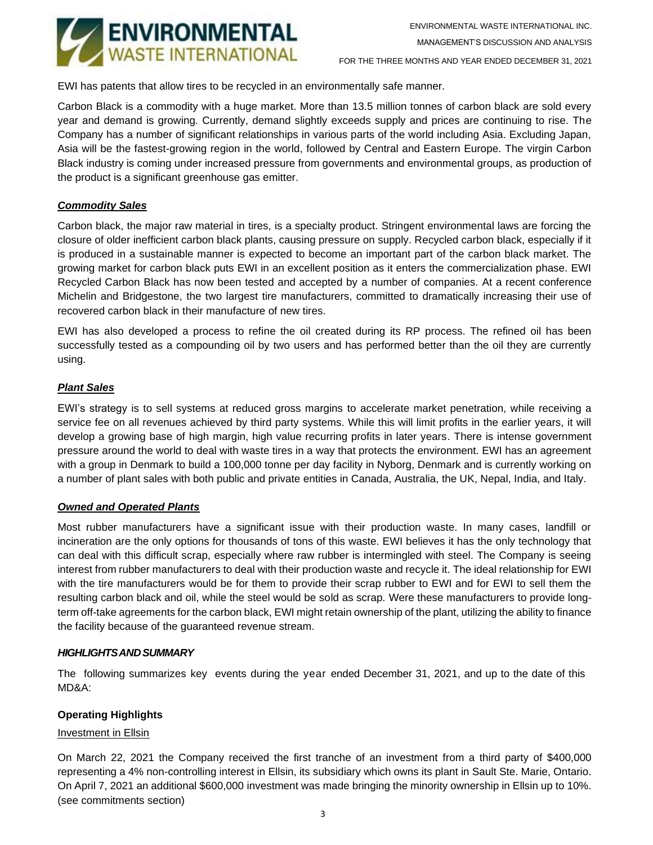

EWI has patents that allow tires to be recycled in an environmentally safe manner.

Carbon Black is a commodity with a huge market. More than 13.5 million tonnes of carbon black are sold every year and demand is growing. Currently, demand slightly exceeds supply and prices are continuing to rise. The Company has a number of significant relationships in various parts of the world including Asia. Excluding Japan, Asia will be the fastest-growing region in the world, followed by Central and Eastern Europe. The virgin Carbon Black industry is coming under increased pressure from governments and environmental groups, as production of the product is a significant greenhouse gas emitter.

## *Commodity Sales*

Carbon black, the major raw material in tires, is a specialty product. Stringent environmental laws are forcing the closure of older inefficient carbon black plants, causing pressure on supply. Recycled carbon black, especially if it is produced in a sustainable manner is expected to become an important part of the carbon black market. The growing market for carbon black puts EWI in an excellent position as it enters the commercialization phase. EWI Recycled Carbon Black has now been tested and accepted by a number of companies. At a recent conference Michelin and Bridgestone, the two largest tire manufacturers, committed to dramatically increasing their use of recovered carbon black in their manufacture of new tires.

EWI has also developed a process to refine the oil created during its RP process. The refined oil has been successfully tested as a compounding oil by two users and has performed better than the oil they are currently using.

### *Plant Sales*

EWI's strategy is to sell systems at reduced gross margins to accelerate market penetration, while receiving a service fee on all revenues achieved by third party systems. While this will limit profits in the earlier years, it will develop a growing base of high margin, high value recurring profits in later years. There is intense government pressure around the world to deal with waste tires in a way that protects the environment. EWI has an agreement with a group in Denmark to build a 100,000 tonne per day facility in Nyborg, Denmark and is currently working on a number of plant sales with both public and private entities in Canada, Australia, the UK, Nepal, India, and Italy.

#### *Owned and Operated Plants*

Most rubber manufacturers have a significant issue with their production waste. In many cases, landfill or incineration are the only options for thousands of tons of this waste. EWI believes it has the only technology that can deal with this difficult scrap, especially where raw rubber is intermingled with steel. The Company is seeing interest from rubber manufacturers to deal with their production waste and recycle it. The ideal relationship for EWI with the tire manufacturers would be for them to provide their scrap rubber to EWI and for EWI to sell them the resulting carbon black and oil, while the steel would be sold as scrap. Were these manufacturers to provide longterm off-take agreements for the carbon black, EWI might retain ownership of the plant, utilizing the ability to finance the facility because of the guaranteed revenue stream.

#### *HIGHLIGHTSANDSUMMARY*

The following summarizes key events during the year ended December 31, 2021, and up to the date of this MD&A:

#### **Operating Highlights**

## Investment in Ellsin

On March 22, 2021 the Company received the first tranche of an investment from a third party of \$400,000 representing a 4% non-controlling interest in Ellsin, its subsidiary which owns its plant in Sault Ste. Marie, Ontario. On April 7, 2021 an additional \$600,000 investment was made bringing the minority ownership in Ellsin up to 10%. (see commitments section)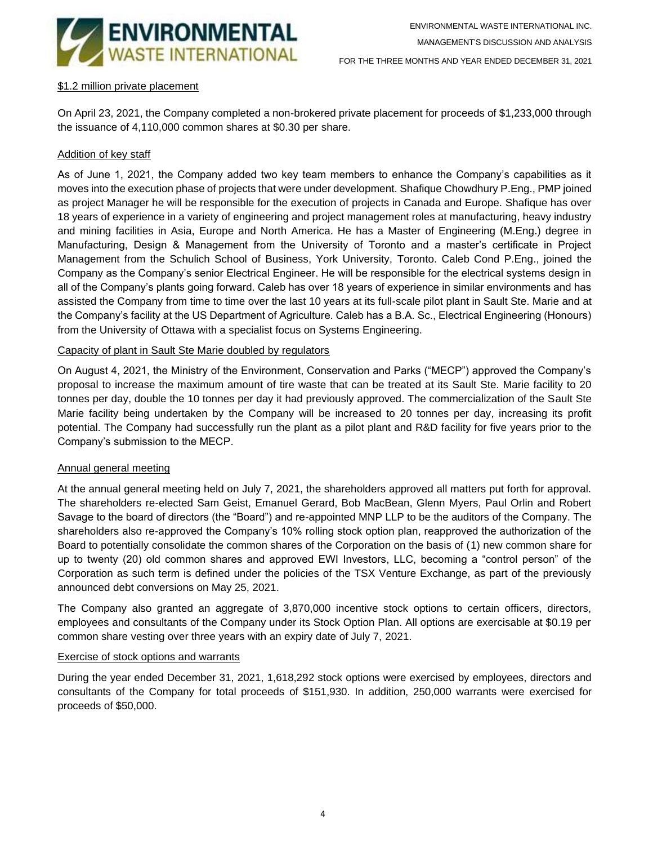

# \$1.2 million private placement

On April 23, 2021, the Company completed a non-brokered private placement for proceeds of \$1,233,000 through the issuance of 4,110,000 common shares at \$0.30 per share.

## Addition of key staff

As of June 1, 2021, the Company added two key team members to enhance the Company's capabilities as it moves into the execution phase of projects that were under development. Shafique Chowdhury P.Eng., PMP joined as project Manager he will be responsible for the execution of projects in Canada and Europe. Shafique has over 18 years of experience in a variety of engineering and project management roles at manufacturing, heavy industry and mining facilities in Asia, Europe and North America. He has a Master of Engineering (M.Eng.) degree in Manufacturing, Design & Management from the University of Toronto and a master's certificate in Project Management from the Schulich School of Business, York University, Toronto. Caleb Cond P.Eng., joined the Company as the Company's senior Electrical Engineer. He will be responsible for the electrical systems design in all of the Company's plants going forward. Caleb has over 18 years of experience in similar environments and has assisted the Company from time to time over the last 10 years at its full-scale pilot plant in Sault Ste. Marie and at the Company's facility at the US Department of Agriculture. Caleb has a B.A. Sc., Electrical Engineering (Honours) from the University of Ottawa with a specialist focus on Systems Engineering.

## Capacity of plant in Sault Ste Marie doubled by regulators

On August 4, 2021, the Ministry of the Environment, Conservation and Parks ("MECP") approved the Company's proposal to increase the maximum amount of tire waste that can be treated at its Sault Ste. Marie facility to 20 tonnes per day, double the 10 tonnes per day it had previously approved. The commercialization of the Sault Ste Marie facility being undertaken by the Company will be increased to 20 tonnes per day, increasing its profit potential. The Company had successfully run the plant as a pilot plant and R&D facility for five years prior to the Company's submission to the MECP.

#### Annual general meeting

At the annual general meeting held on July 7, 2021, the shareholders approved all matters put forth for approval. The shareholders re-elected Sam Geist, Emanuel Gerard, Bob MacBean, Glenn Myers, Paul Orlin and Robert Savage to the board of directors (the "Board") and re-appointed MNP LLP to be the auditors of the Company. The shareholders also re-approved the Company's 10% rolling stock option plan, reapproved the authorization of the Board to potentially consolidate the common shares of the Corporation on the basis of (1) new common share for up to twenty (20) old common shares and approved EWI Investors, LLC, becoming a "control person" of the Corporation as such term is defined under the policies of the TSX Venture Exchange, as part of the previously announced debt conversions on May 25, 2021.

The Company also granted an aggregate of 3,870,000 incentive stock options to certain officers, directors, employees and consultants of the Company under its Stock Option Plan. All options are exercisable at \$0.19 per common share vesting over three years with an expiry date of July 7, 2021.

#### Exercise of stock options and warrants

During the year ended December 31, 2021, 1,618,292 stock options were exercised by employees, directors and consultants of the Company for total proceeds of \$151,930. In addition, 250,000 warrants were exercised for proceeds of \$50,000.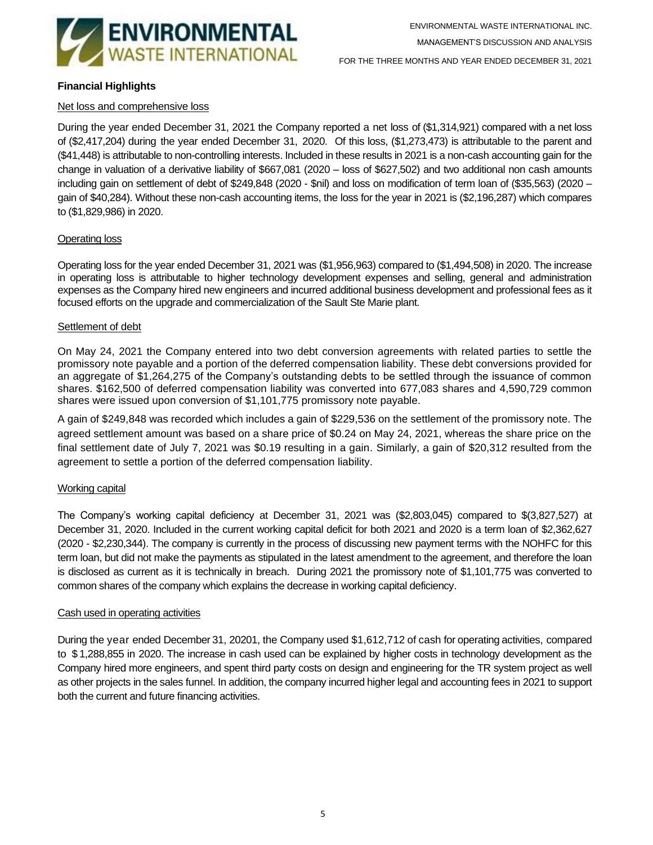

# **Financial Highlights**

## Net loss and comprehensive loss

During the year ended December 31, 2021 the Company reported a net loss of (\$1,314,921) compared with a net loss of (\$2,417,204) during the year ended December 31, 2020. Of this loss, (\$1,273,473) is attributable to the parent and (\$41,448) is attributable to non-controlling interests. Included in these results in 2021 is a non-cash accounting gain for the change in valuation of a derivative liability of \$667,081 (2020 – loss of \$627,502) and two additional non cash amounts including gain on settlement of debt of \$249,848 (2020 - \$nil) and loss on modification of term loan of (\$35,563) (2020 – gain of \$40,284). Without these non-cash accounting items, the loss for the year in 2021 is (\$2,196,287) which compares to (\$1,829,986) in 2020.

## Operating loss

Operating loss for the year ended December 31, 2021 was (\$1,956,963) compared to (\$1,494,508) in 2020. The increase in operating loss is attributable to higher technology development expenses and selling, general and administration expenses as the Company hired new engineers and incurred additional business development and professional fees as it focused efforts on the upgrade and commercialization of the Sault Ste Marie plant.

#### Settlement of debt

On May 24, 2021 the Company entered into two debt conversion agreements with related parties to settle the promissory note payable and a portion of the deferred compensation liability. These debt conversions provided for an aggregate of \$1,264,275 of the Company's outstanding debts to be settled through the issuance of common shares. \$162,500 of deferred compensation liability was converted into 677,083 shares and 4,590,729 common shares were issued upon conversion of \$1,101,775 promissory note payable.

A gain of \$249,848 was recorded which includes a gain of \$229,536 on the settlement of the promissory note. The agreed settlement amount was based on a share price of \$0.24 on May 24, 2021, whereas the share price on the final settlement date of July 7, 2021 was \$0.19 resulting in a gain. Similarly, a gain of \$20,312 resulted from the agreement to settle a portion of the deferred compensation liability.

#### Working capital

The Company's working capital deficiency at December 31, 2021 was (\$2,803,045) compared to \$(3,827,527) at December 31, 2020. Included in the current working capital deficit for both 2021 and 2020 is a term loan of \$2,362,627 (2020 - \$2,230,344). The company is currently in the process of discussing new payment terms with the NOHFC for this term loan, but did not make the payments as stipulated in the latest amendment to the agreement, and therefore the loan is disclosed as current as it is technically in breach. During 2021 the promissory note of \$1,101,775 was converted to common shares of the company which explains the decrease in working capital deficiency.

#### Cash used in operating activities

During the year ended December 31, 20201, the Company used \$1,612,712 of cash for operating activities, compared to \$ 1,288,855 in 2020. The increase in cash used can be explained by higher costs in technology development as the Company hired more engineers, and spent third party costs on design and engineering for the TR system project as well as other projects in the sales funnel. In addition, the company incurred higher legal and accounting fees in 2021 to support both the current and future financing activities.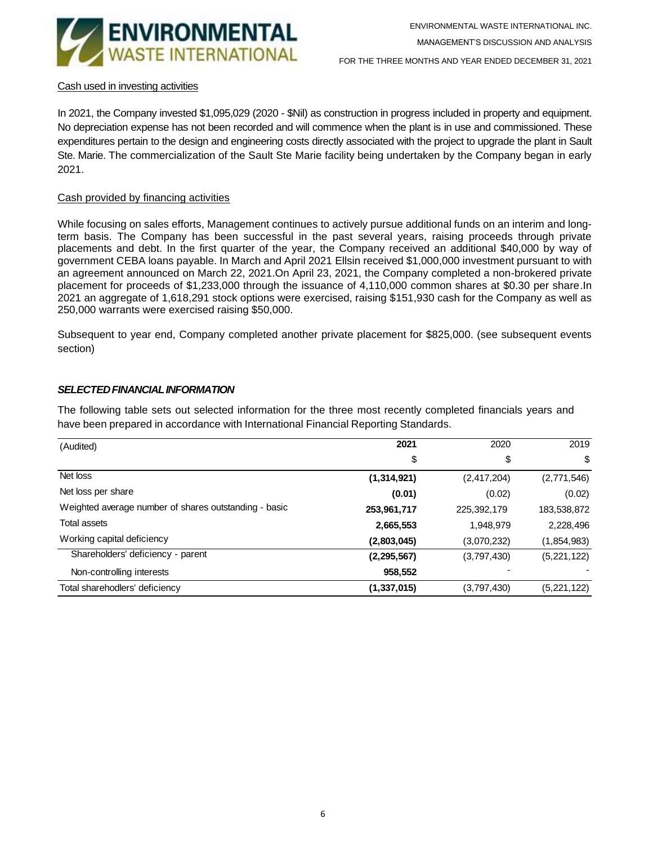

## Cash used in investing activities

In 2021, the Company invested \$1,095,029 (2020 - \$Nil) as construction in progress included in property and equipment. No depreciation expense has not been recorded and will commence when the plant is in use and commissioned. These expenditures pertain to the design and engineering costs directly associated with the project to upgrade the plant in Sault Ste. Marie. The commercialization of the Sault Ste Marie facility being undertaken by the Company began in early 2021.

### Cash provided by financing activities

While focusing on sales efforts, Management continues to actively pursue additional funds on an interim and longterm basis. The Company has been successful in the past several years, raising proceeds through private placements and debt. In the first quarter of the year, the Company received an additional \$40,000 by way of government CEBA loans payable. In March and April 2021 Ellsin received \$1,000,000 investment pursuant to with an agreement announced on March 22, 2021.On April 23, 2021, the Company completed a non-brokered private placement for proceeds of \$1,233,000 through the issuance of 4,110,000 common shares at \$0.30 per share.In 2021 an aggregate of 1,618,291 stock options were exercised, raising \$151,930 cash for the Company as well as 250,000 warrants were exercised raising \$50,000.

Subsequent to year end, Company completed another private placement for \$825,000. (see subsequent events section)

## *SELECTEDFINANCIALINFORMATION*

The following table sets out selected information for the three most recently completed financials years and have been prepared in accordance with International Financial Reporting Standards.

| (Audited)                                             | 2021          | 2020        | 2019        |
|-------------------------------------------------------|---------------|-------------|-------------|
|                                                       | \$            | \$          | \$          |
| Net loss                                              | (1,314,921)   | (2,417,204) | (2,771,546) |
| Net loss per share                                    | (0.01)        | (0.02)      | (0.02)      |
| Weighted average number of shares outstanding - basic | 253,961,717   | 225,392,179 | 183,538,872 |
| Total assets                                          | 2,665,553     | 1,948,979   | 2,228,496   |
| Working capital deficiency                            | (2,803,045)   | (3,070,232) | (1,854,983) |
| Shareholders' deficiency - parent                     | (2, 295, 567) | (3,797,430) | (5,221,122) |
| Non-controlling interests                             | 958,552       |             |             |
| Total sharehodlers' deficiency                        | (1, 337, 015) | (3,797,430) | (5,221,122) |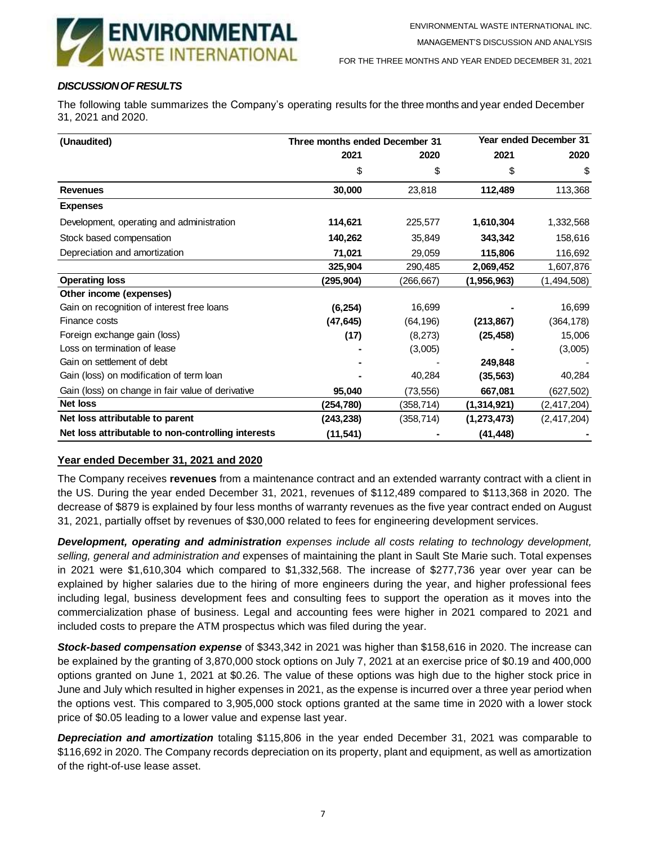

MANAGEMENT'S DISCUSSION AND ANALYSIS

FOR THE THREE MONTHS AND YEAR ENDED DECEMBER 31, 2021

# *DISCUSSIONOFRESULTS*

The following table summarizes the Company's operating results for the three months and year ended December 31, 2021 and 2020.

| (Unaudited)                                        | Three months ended December 31 |            | Year ended December 31 |               |  |
|----------------------------------------------------|--------------------------------|------------|------------------------|---------------|--|
|                                                    | 2021                           | 2020       | 2021                   | 2020          |  |
|                                                    | \$                             | \$         | \$                     | \$            |  |
| <b>Revenues</b>                                    | 30,000                         | 23,818     | 112,489                | 113,368       |  |
| <b>Expenses</b>                                    |                                |            |                        |               |  |
| Development, operating and administration          | 114,621                        | 225,577    | 1,610,304              | 1,332,568     |  |
| Stock based compensation                           | 140,262                        | 35,849     | 343,342                | 158,616       |  |
| Depreciation and amortization                      | 71,021                         | 29,059     | 115,806                | 116,692       |  |
|                                                    | 325,904                        | 290,485    | 2,069,452              | 1,607,876     |  |
| <b>Operating loss</b>                              | (295,904)                      | (266,667)  | (1,956,963)            | (1,494,508)   |  |
| Other income (expenses)                            |                                |            |                        |               |  |
| Gain on recognition of interest free loans         | (6, 254)                       | 16,699     |                        | 16,699        |  |
| Finance costs                                      | (47, 645)                      | (64, 196)  | (213, 867)             | (364, 178)    |  |
| Foreign exchange gain (loss)                       | (17)                           | (8,273)    | (25, 458)              | 15,006        |  |
| Loss on termination of lease                       |                                | (3,005)    |                        | (3,005)       |  |
| Gain on settlement of debt                         |                                |            | 249,848                |               |  |
| Gain (loss) on modification of term loan           |                                | 40,284     | (35, 563)              | 40,284        |  |
| Gain (loss) on change in fair value of derivative  | 95,040                         | (73, 556)  | 667,081                | (627, 502)    |  |
| Net loss                                           | (254,780)                      | (358,714)  | (1,314,921)            | (2, 417, 204) |  |
| Net loss attributable to parent                    | (243, 238)                     | (358, 714) | (1, 273, 473)          | (2, 417, 204) |  |
| Net loss attributable to non-controlling interests | (11, 541)                      |            | (41, 448)              |               |  |

## **Year ended December 31, 2021 and 2020**

The Company receives **revenues** from a maintenance contract and an extended warranty contract with a client in the US. During the year ended December 31, 2021, revenues of \$112,489 compared to \$113,368 in 2020. The decrease of \$879 is explained by four less months of warranty revenues as the five year contract ended on August 31, 2021, partially offset by revenues of \$30,000 related to fees for engineering development services.

*Development, operating and administration expenses include all costs relating to technology development, selling, general and administration and* expenses of maintaining the plant in Sault Ste Marie such. Total expenses in 2021 were \$1,610,304 which compared to \$1,332,568. The increase of \$277,736 year over year can be explained by higher salaries due to the hiring of more engineers during the year, and higher professional fees including legal, business development fees and consulting fees to support the operation as it moves into the commercialization phase of business. Legal and accounting fees were higher in 2021 compared to 2021 and included costs to prepare the ATM prospectus which was filed during the year.

*Stock-based compensation expense* of \$343,342 in 2021 was higher than \$158,616 in 2020. The increase can be explained by the granting of 3,870,000 stock options on July 7, 2021 at an exercise price of \$0.19 and 400,000 options granted on June 1, 2021 at \$0.26. The value of these options was high due to the higher stock price in June and July which resulted in higher expenses in 2021, as the expense is incurred over a three year period when the options vest. This compared to 3,905,000 stock options granted at the same time in 2020 with a lower stock price of \$0.05 leading to a lower value and expense last year.

*Depreciation and amortization* totaling \$115,806 in the year ended December 31, 2021 was comparable to \$116,692 in 2020. The Company records depreciation on its property, plant and equipment, as well as amortization of the right-of-use lease asset.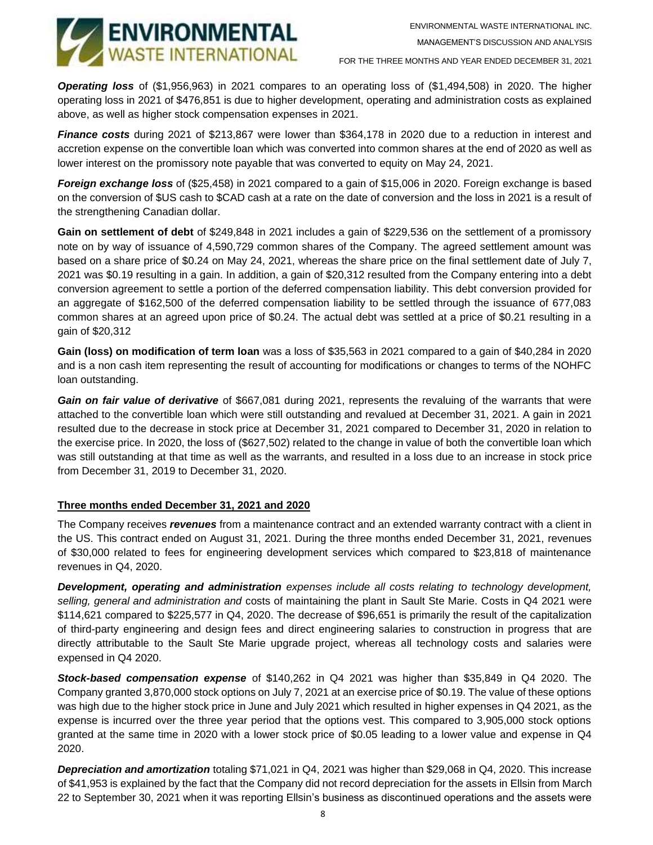**ENVIRONMENTAL WASTE INTERNATIONAL** 

FOR THE THREE MONTHS AND YEAR ENDED DECEMBER 31, 2021

*Operating loss* of (\$1,956,963) in 2021 compares to an operating loss of (\$1,494,508) in 2020. The higher operating loss in 2021 of \$476,851 is due to higher development, operating and administration costs as explained above, as well as higher stock compensation expenses in 2021.

*Finance costs* during 2021 of \$213,867 were lower than \$364,178 in 2020 due to a reduction in interest and accretion expense on the convertible loan which was converted into common shares at the end of 2020 as well as lower interest on the promissory note payable that was converted to equity on May 24, 2021.

*Foreign exchange loss* of (\$25,458) in 2021 compared to a gain of \$15,006 in 2020. Foreign exchange is based on the conversion of \$US cash to \$CAD cash at a rate on the date of conversion and the loss in 2021 is a result of the strengthening Canadian dollar.

**Gain on settlement of debt** of \$249,848 in 2021 includes a gain of \$229,536 on the settlement of a promissory note on by way of issuance of 4,590,729 common shares of the Company. The agreed settlement amount was based on a share price of \$0.24 on May 24, 2021, whereas the share price on the final settlement date of July 7, 2021 was \$0.19 resulting in a gain. In addition, a gain of \$20,312 resulted from the Company entering into a debt conversion agreement to settle a portion of the deferred compensation liability. This debt conversion provided for an aggregate of \$162,500 of the deferred compensation liability to be settled through the issuance of 677,083 common shares at an agreed upon price of \$0.24. The actual debt was settled at a price of \$0.21 resulting in a gain of \$20,312

**Gain (loss) on modification of term loan** was a loss of \$35,563 in 2021 compared to a gain of \$40,284 in 2020 and is a non cash item representing the result of accounting for modifications or changes to terms of the NOHFC loan outstanding.

*Gain on fair value of derivative* of \$667,081 during 2021, represents the revaluing of the warrants that were attached to the convertible loan which were still outstanding and revalued at December 31, 2021. A gain in 2021 resulted due to the decrease in stock price at December 31, 2021 compared to December 31, 2020 in relation to the exercise price. In 2020, the loss of (\$627,502) related to the change in value of both the convertible loan which was still outstanding at that time as well as the warrants, and resulted in a loss due to an increase in stock price from December 31, 2019 to December 31, 2020.

## **Three months ended December 31, 2021 and 2020**

The Company receives *revenues* from a maintenance contract and an extended warranty contract with a client in the US. This contract ended on August 31, 2021. During the three months ended December 31, 2021, revenues of \$30,000 related to fees for engineering development services which compared to \$23,818 of maintenance revenues in Q4, 2020.

*Development, operating and administration expenses include all costs relating to technology development, selling, general and administration and* costs of maintaining the plant in Sault Ste Marie. Costs in Q4 2021 were \$114,621 compared to \$225,577 in Q4, 2020. The decrease of \$96,651 is primarily the result of the capitalization of third-party engineering and design fees and direct engineering salaries to construction in progress that are directly attributable to the Sault Ste Marie upgrade project, whereas all technology costs and salaries were expensed in Q4 2020.

*Stock-based compensation expense* of \$140,262 in Q4 2021 was higher than \$35,849 in Q4 2020. The Company granted 3,870,000 stock options on July 7, 2021 at an exercise price of \$0.19. The value of these options was high due to the higher stock price in June and July 2021 which resulted in higher expenses in Q4 2021, as the expense is incurred over the three year period that the options vest. This compared to 3,905,000 stock options granted at the same time in 2020 with a lower stock price of \$0.05 leading to a lower value and expense in Q4 2020.

*Depreciation and amortization* totaling \$71,021 in Q4, 2021 was higher than \$29,068 in Q4, 2020. This increase of \$41,953 is explained by the fact that the Company did not record depreciation for the assets in Ellsin from March 22 to September 30, 2021 when it was reporting Ellsin's business as discontinued operations and the assets were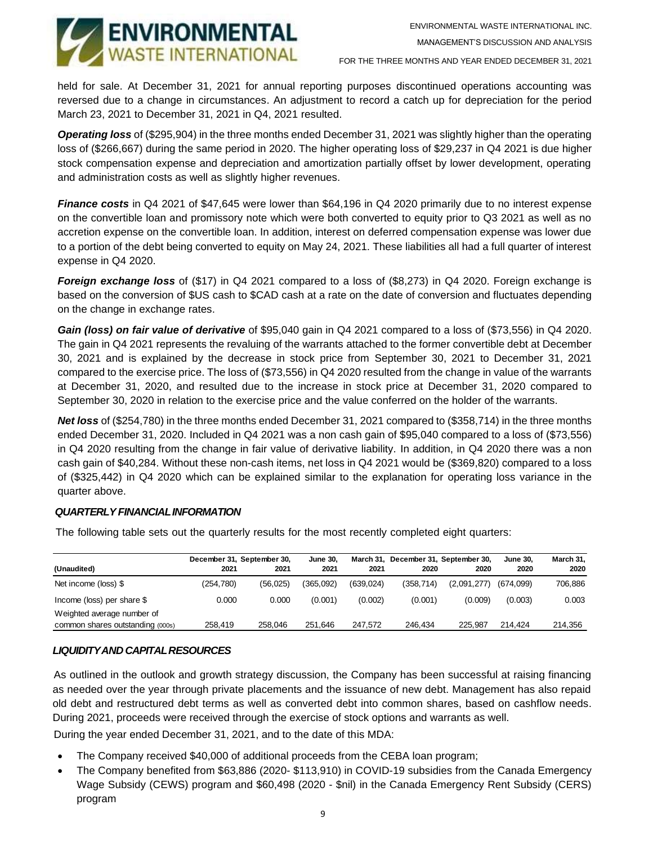

held for sale. At December 31, 2021 for annual reporting purposes discontinued operations accounting was reversed due to a change in circumstances. An adjustment to record a catch up for depreciation for the period March 23, 2021 to December 31, 2021 in Q4, 2021 resulted.

*Operating loss* of (\$295,904) in the three months ended December 31, 2021 was slightly higher than the operating loss of (\$266,667) during the same period in 2020. The higher operating loss of \$29,237 in Q4 2021 is due higher stock compensation expense and depreciation and amortization partially offset by lower development, operating and administration costs as well as slightly higher revenues.

*Finance costs* in Q4 2021 of \$47,645 were lower than \$64,196 in Q4 2020 primarily due to no interest expense on the convertible loan and promissory note which were both converted to equity prior to Q3 2021 as well as no accretion expense on the convertible loan. In addition, interest on deferred compensation expense was lower due to a portion of the debt being converted to equity on May 24, 2021. These liabilities all had a full quarter of interest expense in Q4 2020.

*Foreign exchange loss* of (\$17) in Q4 2021 compared to a loss of (\$8,273) in Q4 2020. Foreign exchange is based on the conversion of \$US cash to \$CAD cash at a rate on the date of conversion and fluctuates depending on the change in exchange rates.

*Gain (loss) on fair value of derivative* of \$95,040 gain in Q4 2021 compared to a loss of (\$73,556) in Q4 2020. The gain in Q4 2021 represents the revaluing of the warrants attached to the former convertible debt at December 30, 2021 and is explained by the decrease in stock price from September 30, 2021 to December 31, 2021 compared to the exercise price. The loss of (\$73,556) in Q4 2020 resulted from the change in value of the warrants at December 31, 2020, and resulted due to the increase in stock price at December 31, 2020 compared to September 30, 2020 in relation to the exercise price and the value conferred on the holder of the warrants.

*Net loss* of (\$254,780) in the three months ended December 31, 2021 compared to (\$358,714) in the three months ended December 31, 2020. Included in Q4 2021 was a non cash gain of \$95,040 compared to a loss of (\$73,556) in Q4 2020 resulting from the change in fair value of derivative liability. In addition, in Q4 2020 there was a non cash gain of \$40,284. Without these non-cash items, net loss in Q4 2021 would be (\$369,820) compared to a loss of (\$325,442) in Q4 2020 which can be explained similar to the explanation for operating loss variance in the quarter above.

## **QUARTERLY FINANCIAL INFORMATION**

|                                                                |           | December 31, September 30, | <b>June 30.</b> |           |           | March 31, December 31, September 30, | <b>June 30.</b> | March 31, |
|----------------------------------------------------------------|-----------|----------------------------|-----------------|-----------|-----------|--------------------------------------|-----------------|-----------|
| (Unaudited)                                                    | 2021      | 2021                       | 2021            | 2021      | 2020      | 2020                                 | 2020            | 2020      |
| Net income (loss) \$                                           | (254,780) | (56.025)                   | (365.092)       | (639.024) | (358.714) | (2,091,277)                          | (674.099)       | 706,886   |
| Income (loss) per share \$                                     | 0.000     | 0.000                      | (0.001)         | (0.002)   | (0.001)   | (0.009)                              | (0.003)         | 0.003     |
| Weighted average number of<br>common shares outstanding (000s) | 258.419   | 258.046                    | 251.646         | 247.572   | 246.434   | 225.987                              | 214.424         | 214,356   |

The following table sets out the quarterly results for the most recently completed eight quarters:

## *LIQUIDITYAND CAPITALRESOURCES*

 As outlined in the outlook and growth strategy discussion, the Company has been successful at raising financing as needed over the year through private placements and the issuance of new debt. Management has also repaid old debt and restructured debt terms as well as converted debt into common shares, based on cashflow needs. During 2021, proceeds were received through the exercise of stock options and warrants as well.

During the year ended December 31, 2021, and to the date of this MDA:

- The Company received \$40,000 of additional proceeds from the CEBA loan program;
- The Company benefited from \$63,886 (2020- \$113,910) in COVID-19 subsidies from the Canada Emergency Wage Subsidy (CEWS) program and \$60,498 (2020 - \$nil) in the Canada Emergency Rent Subsidy (CERS) program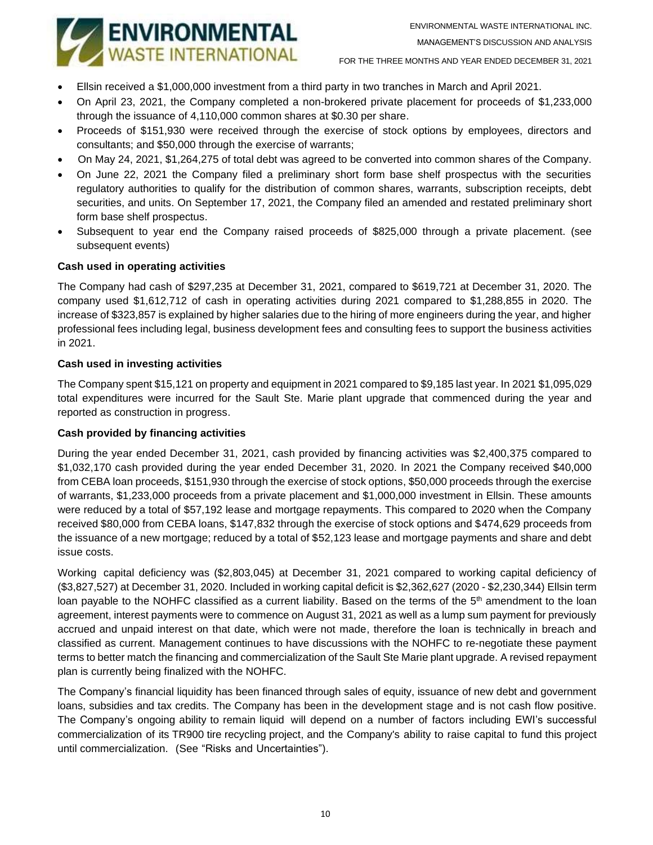

- Ellsin received a \$1,000,000 investment from a third party in two tranches in March and April 2021.
- On April 23, 2021, the Company completed a non-brokered private placement for proceeds of \$1,233,000 through the issuance of 4,110,000 common shares at \$0.30 per share.
- Proceeds of \$151,930 were received through the exercise of stock options by employees, directors and consultants; and \$50,000 through the exercise of warrants;
- On May 24, 2021, \$1,264,275 of total debt was agreed to be converted into common shares of the Company.
- On June 22, 2021 the Company filed a preliminary short form base shelf prospectus with the securities regulatory authorities to qualify for the distribution of common shares, warrants, subscription receipts, debt securities, and units. On September 17, 2021, the Company filed an amended and restated preliminary short form base shelf prospectus.
- Subsequent to year end the Company raised proceeds of \$825,000 through a private placement. (see subsequent events)

## **Cash used in operating activities**

The Company had cash of \$297,235 at December 31, 2021, compared to \$619,721 at December 31, 2020. The company used \$1,612,712 of cash in operating activities during 2021 compared to \$1,288,855 in 2020. The increase of \$323,857 is explained by higher salaries due to the hiring of more engineers during the year, and higher professional fees including legal, business development fees and consulting fees to support the business activities in 2021.

## **Cash used in investing activities**

The Company spent \$15,121 on property and equipment in 2021 compared to \$9,185 last year. In 2021 \$1,095,029 total expenditures were incurred for the Sault Ste. Marie plant upgrade that commenced during the year and reported as construction in progress.

## **Cash provided by financing activities**

During the year ended December 31, 2021, cash provided by financing activities was \$2,400,375 compared to \$1,032,170 cash provided during the year ended December 31, 2020. In 2021 the Company received \$40,000 from CEBA loan proceeds, \$151,930 through the exercise of stock options, \$50,000 proceeds through the exercise of warrants, \$1,233,000 proceeds from a private placement and \$1,000,000 investment in Ellsin. These amounts were reduced by a total of \$57,192 lease and mortgage repayments. This compared to 2020 when the Company received \$80,000 from CEBA loans, \$147,832 through the exercise of stock options and \$474,629 proceeds from the issuance of a new mortgage; reduced by a total of \$52,123 lease and mortgage payments and share and debt issue costs.

Working capital deficiency was (\$2,803,045) at December 31, 2021 compared to working capital deficiency of (\$3,827,527) at December 31, 2020. Included in working capital deficit is \$2,362,627 (2020 - \$2,230,344) Ellsin term loan payable to the NOHFC classified as a current liability. Based on the terms of the 5<sup>th</sup> amendment to the loan agreement, interest payments were to commence on August 31, 2021 as well as a lump sum payment for previously accrued and unpaid interest on that date, which were not made, therefore the loan is technically in breach and classified as current. Management continues to have discussions with the NOHFC to re-negotiate these payment terms to better match the financing and commercialization of the Sault Ste Marie plant upgrade. A revised repayment plan is currently being finalized with the NOHFC.

The Company's financial liquidity has been financed through sales of equity, issuance of new debt and government loans, subsidies and tax credits. The Company has been in the development stage and is not cash flow positive. The Company's ongoing ability to remain liquid will depend on a number of factors including EWI's successful commercialization of its TR900 tire recycling project, and the Company's ability to raise capital to fund this project until commercialization. (See "Risks and Uncertainties").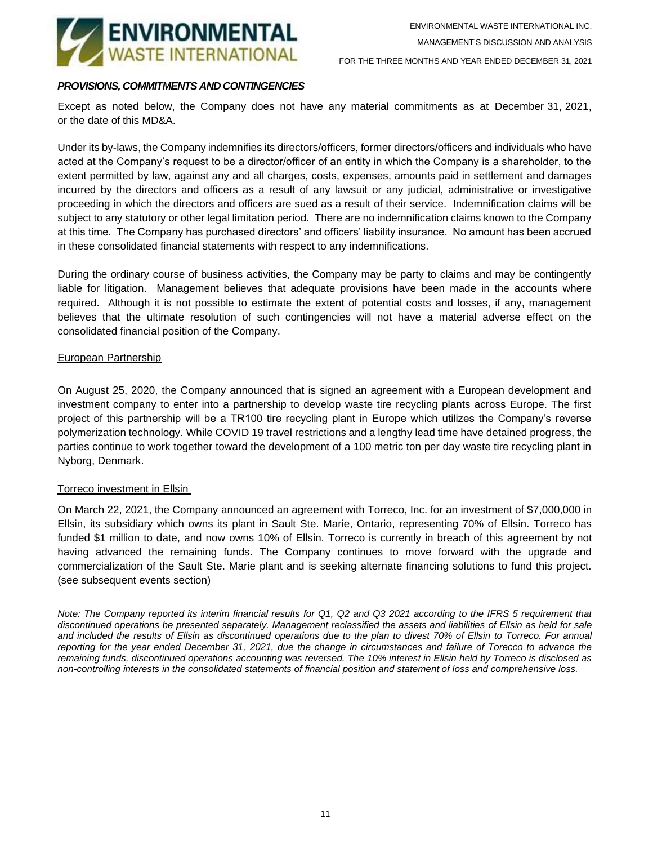

### *PROVISIONS, COMMITMENTS AND CONTINGENCIES*

Except as noted below, the Company does not have any material commitments as at December 31, 2021, or the date of this MD&A.

Under its by-laws, the Company indemnifies its directors/officers, former directors/officers and individuals who have acted at the Company's request to be a director/officer of an entity in which the Company is a shareholder, to the extent permitted by law, against any and all charges, costs, expenses, amounts paid in settlement and damages incurred by the directors and officers as a result of any lawsuit or any judicial, administrative or investigative proceeding in which the directors and officers are sued as a result of their service. Indemnification claims will be subject to any statutory or other legal limitation period. There are no indemnification claims known to the Company at this time. The Company has purchased directors' and officers' liability insurance. No amount has been accrued in these consolidated financial statements with respect to any indemnifications.

During the ordinary course of business activities, the Company may be party to claims and may be contingently liable for litigation. Management believes that adequate provisions have been made in the accounts where required. Although it is not possible to estimate the extent of potential costs and losses, if any, management believes that the ultimate resolution of such contingencies will not have a material adverse effect on the consolidated financial position of the Company.

### European Partnership

On August 25, 2020, the Company announced that is signed an agreement with a European development and investment company to enter into a partnership to develop waste tire recycling plants across Europe. The first project of this partnership will be a TR100 tire recycling plant in Europe which utilizes the Company's reverse polymerization technology. While COVID 19 travel restrictions and a lengthy lead time have detained progress, the parties continue to work together toward the development of a 100 metric ton per day waste tire recycling plant in Nyborg, Denmark.

#### Torreco investment in Ellsin

On March 22, 2021, the Company announced an agreement with Torreco, Inc. for an investment of \$7,000,000 in Ellsin, its subsidiary which owns its plant in Sault Ste. Marie, Ontario, representing 70% of Ellsin. Torreco has funded \$1 million to date, and now owns 10% of Ellsin. Torreco is currently in breach of this agreement by not having advanced the remaining funds. The Company continues to move forward with the upgrade and commercialization of the Sault Ste. Marie plant and is seeking alternate financing solutions to fund this project. (see subsequent events section)

*Note: The Company reported its interim financial results for Q1, Q2 and Q3 2021 according to the IFRS 5 requirement that discontinued operations be presented separately. Management reclassified the assets and liabilities of Ellsin as held for sale and included the results of Ellsin as discontinued operations due to the plan to divest 70% of Ellsin to Torreco. For annual reporting for the year ended December 31, 2021, due the change in circumstances and failure of Torecco to advance the remaining funds, discontinued operations accounting was reversed. The 10% interest in Ellsin held by Torreco is disclosed as non-controlling interests in the consolidated statements of financial position and statement of loss and comprehensive loss.*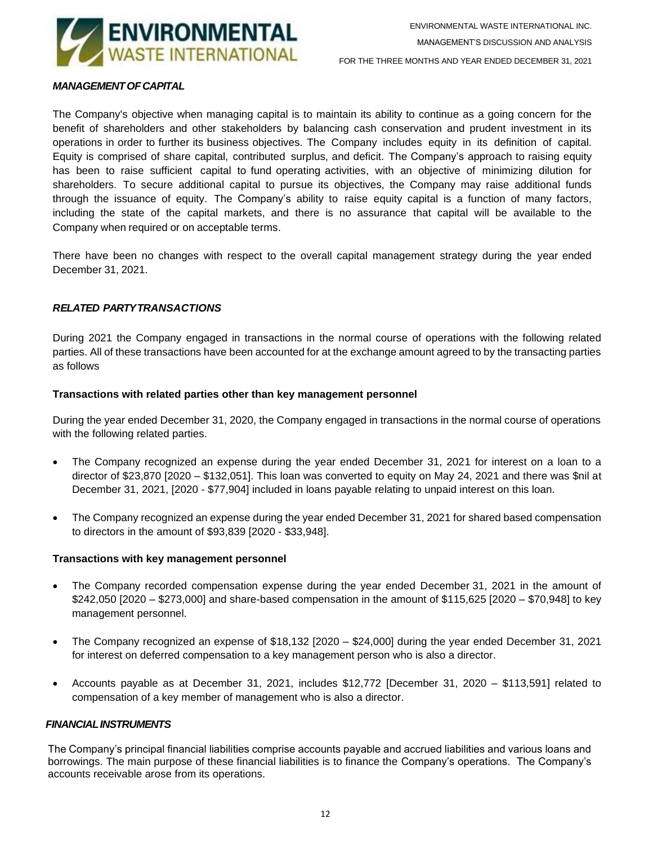

## *MANAGEMENTOFCAPITAL*

The Company's objective when managing capital is to maintain its ability to continue as a going concern for the benefit of shareholders and other stakeholders by balancing cash conservation and prudent investment in its operations in order to further its business objectives. The Company includes equity in its definition of capital. Equity is comprised of share capital, contributed surplus, and deficit. The Company's approach to raising equity has been to raise sufficient capital to fund operating activities, with an objective of minimizing dilution for shareholders. To secure additional capital to pursue its objectives, the Company may raise additional funds through the issuance of equity. The Company's ability to raise equity capital is a function of many factors, including the state of the capital markets, and there is no assurance that capital will be available to the Company when required or on acceptable terms.

There have been no changes with respect to the overall capital management strategy during the year ended December 31, 2021.

### *RELATED PARTYTRANSACTIONS*

During 2021 the Company engaged in transactions in the normal course of operations with the following related parties. All of these transactions have been accounted for at the exchange amount agreed to by the transacting parties as follows

#### **Transactions with related parties other than key management personnel**

During the year ended December 31, 2020, the Company engaged in transactions in the normal course of operations with the following related parties.

- The Company recognized an expense during the year ended December 31, 2021 for interest on a loan to a director of \$23,870 [2020 – \$132,051]. This loan was converted to equity on May 24, 2021 and there was \$nil at December 31, 2021, [2020 - \$77,904] included in loans payable relating to unpaid interest on this loan.
- The Company recognized an expense during the year ended December 31, 2021 for shared based compensation to directors in the amount of \$93,839 [2020 - \$33,948].

#### **Transactions with key management personnel**

- The Company recorded compensation expense during the year ended December 31, 2021 in the amount of \$242,050 [2020 – \$273,000] and share-based compensation in the amount of \$115,625 [2020 – \$70,948] to key management personnel.
- The Company recognized an expense of \$18,132 [2020 \$24,000] during the year ended December 31, 2021 for interest on deferred compensation to a key management person who is also a director.
- Accounts payable as at December 31, 2021, includes \$12,772 [December 31, 2020 \$113,591] related to compensation of a key member of management who is also a director.

#### *FINANCIALINSTRUMENTS*

The Company's principal financial liabilities comprise accounts payable and accrued liabilities and various loans and borrowings. The main purpose of these financial liabilities is to finance the Company's operations. The Company's accounts receivable arose from its operations.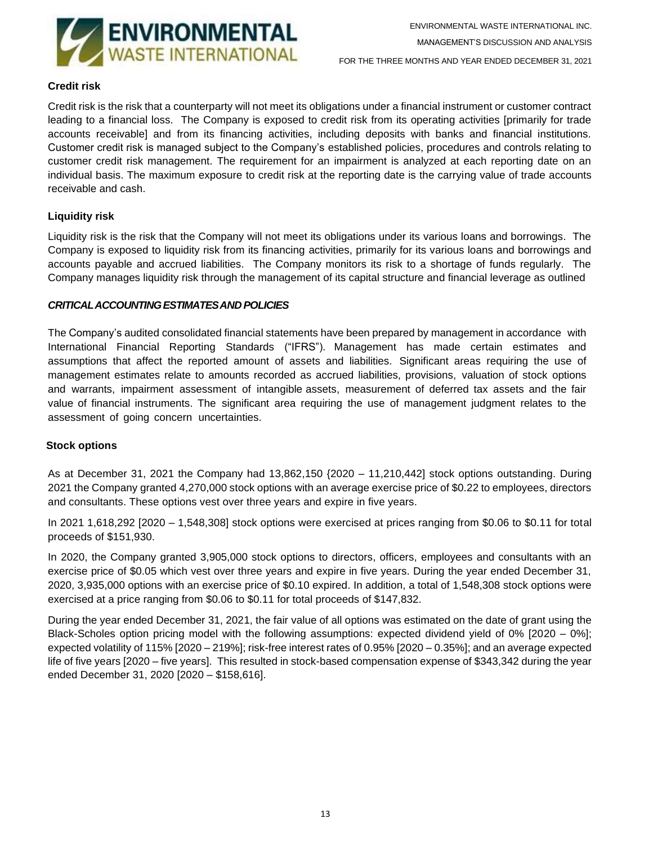

# **Credit risk**

Credit risk is the risk that a counterparty will not meet its obligations under a financial instrument or customer contract leading to a financial loss. The Company is exposed to credit risk from its operating activities [primarily for trade accounts receivable] and from its financing activities, including deposits with banks and financial institutions. Customer credit risk is managed subject to the Company's established policies, procedures and controls relating to customer credit risk management. The requirement for an impairment is analyzed at each reporting date on an individual basis. The maximum exposure to credit risk at the reporting date is the carrying value of trade accounts receivable and cash.

# **Liquidity risk**

Liquidity risk is the risk that the Company will not meet its obligations under its various loans and borrowings. The Company is exposed to liquidity risk from its financing activities, primarily for its various loans and borrowings and accounts payable and accrued liabilities. The Company monitors its risk to a shortage of funds regularly. The Company manages liquidity risk through the management of its capital structure and financial leverage as outlined

## *CRITICALACCOUNTINGESTIMATESAND POLICIES*

The Company's audited consolidated financial statements have been prepared by management in accordance with International Financial Reporting Standards ("IFRS"). Management has made certain estimates and assumptions that affect the reported amount of assets and liabilities. Significant areas requiring the use of management estimates relate to amounts recorded as accrued liabilities, provisions, valuation of stock options and warrants, impairment assessment of intangible assets, measurement of deferred tax assets and the fair value of financial instruments. The significant area requiring the use of management judgment relates to the assessment of going concern uncertainties.

## **Stock options**

As at December 31, 2021 the Company had 13,862,150 {2020 – 11,210,442] stock options outstanding. During 2021 the Company granted 4,270,000 stock options with an average exercise price of \$0.22 to employees, directors and consultants. These options vest over three years and expire in five years.

In 2021 1,618,292 [2020 – 1,548,308] stock options were exercised at prices ranging from \$0.06 to \$0.11 for total proceeds of \$151,930.

In 2020, the Company granted 3,905,000 stock options to directors, officers, employees and consultants with an exercise price of \$0.05 which vest over three years and expire in five years. During the year ended December 31, 2020, 3,935,000 options with an exercise price of \$0.10 expired. In addition, a total of 1,548,308 stock options were exercised at a price ranging from \$0.06 to \$0.11 for total proceeds of \$147,832.

During the year ended December 31, 2021, the fair value of all options was estimated on the date of grant using the Black-Scholes option pricing model with the following assumptions: expected dividend yield of 0% [2020 – 0%]; expected volatility of 115% [2020 – 219%]; risk-free interest rates of 0.95% [2020 – 0.35%]; and an average expected life of five years [2020 – five years]. This resulted in stock-based compensation expense of \$343,342 during the year ended December 31, 2020 [2020 – \$158,616].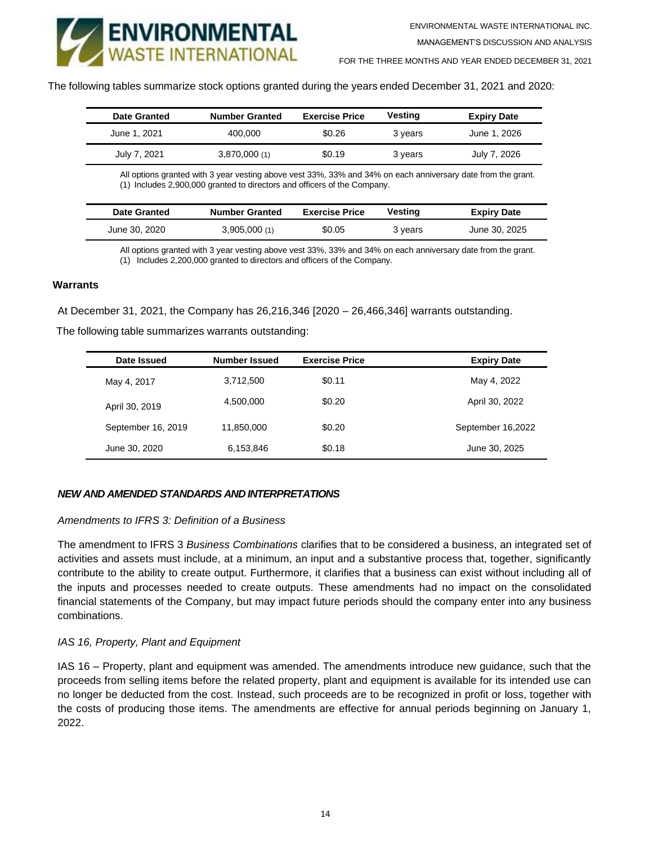

The following tables summarize stock options granted during the years ended December 31, 2021 and 2020:

| <b>Date Granted</b> | <b>Number Granted</b> | <b>Exercise Price</b> | Vestina | <b>Expiry Date</b> |
|---------------------|-----------------------|-----------------------|---------|--------------------|
| June 1, 2021        | 400,000               | \$0.26                | 3 years | June 1, 2026       |
| July 7, 2021        | 3,870,000(1)          | \$0.19                | 3 years | July 7, 2026       |

 All options granted with 3 year vesting above vest 33%, 33% and 34% on each anniversary date from the grant. (1) Includes 2,900,000 granted to directors and officers of the Company.

| Date Granted  | <b>Number Granted</b> | <b>Exercise Price</b> | Vestina | <b>Expiry Date</b> |
|---------------|-----------------------|-----------------------|---------|--------------------|
| June 30, 2020 | 3.905.000(1)          | \$0.05                | 3 years | June 30, 2025      |

All options granted with 3 year vesting above vest 33%, 33% and 34% on each anniversary date from the grant.<br>(1) Jncludes 2,200,000 grapted to directors and officers of the Company. (1) Includes 2,200,000 granted to directors and officers of the Company.

#### **Warrants**

At December 31, 2021, the Company has 26,216,346 [2020 – 26,466,346] warrants outstanding.

The following table summarizes warrants outstanding:

| Date Issued        | Number Issued | <b>Exercise Price</b> | <b>Expiry Date</b> |
|--------------------|---------------|-----------------------|--------------------|
| May 4, 2017        | 3,712,500     | \$0.11                | May 4, 2022        |
| April 30, 2019     | 4.500.000     | \$0.20                | April 30, 2022     |
| September 16, 2019 | 11,850,000    | \$0.20                | September 16,2022  |
| June 30, 2020      | 6,153,846     | \$0.18                | June 30, 2025      |

#### *NEW AND AMENDED STANDARDS AND INTERPRETATIONS*

#### *Amendments to IFRS 3: Definition of a Business*

The amendment to IFRS 3 *Business Combinations* clarifies that to be considered a business, an integrated set of activities and assets must include, at a minimum, an input and a substantive process that, together, significantly contribute to the ability to create output. Furthermore, it clarifies that a business can exist without including all of the inputs and processes needed to create outputs. These amendments had no impact on the consolidated financial statements of the Company, but may impact future periods should the company enter into any business combinations.

#### *IAS 16, Property, Plant and Equipment*

IAS 16 – Property, plant and equipment was amended. The amendments introduce new guidance, such that the proceeds from selling items before the related property, plant and equipment is available for its intended use can no longer be deducted from the cost. Instead, such proceeds are to be recognized in profit or loss, together with the costs of producing those items. The amendments are effective for annual periods beginning on January 1, 2022.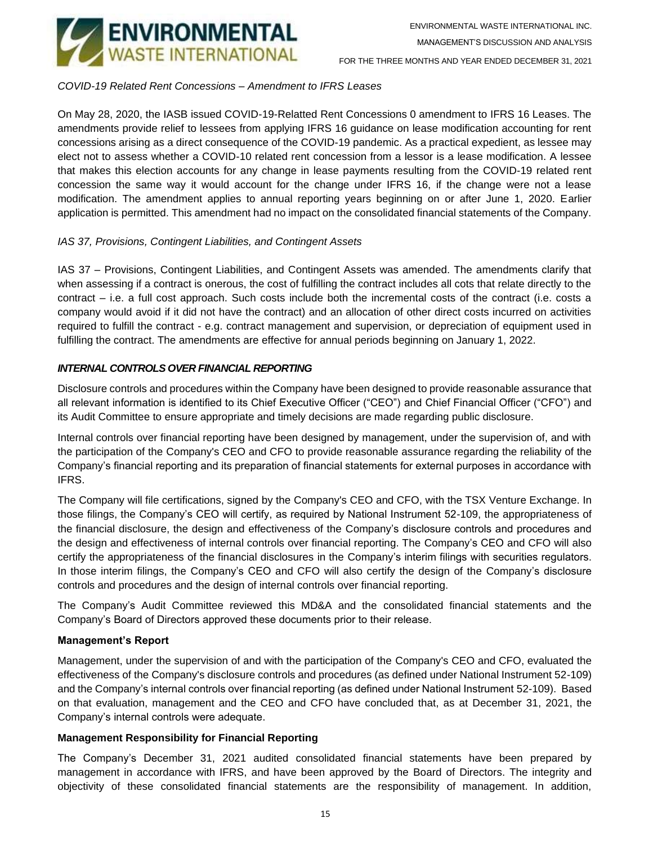

*COVID-19 Related Rent Concessions – Amendment to IFRS Leases*

On May 28, 2020, the IASB issued COVID-19-Relatted Rent Concessions 0 amendment to IFRS 16 Leases. The amendments provide relief to lessees from applying IFRS 16 guidance on lease modification accounting for rent concessions arising as a direct consequence of the COVID-19 pandemic. As a practical expedient, as lessee may elect not to assess whether a COVID-10 related rent concession from a lessor is a lease modification. A lessee that makes this election accounts for any change in lease payments resulting from the COVID-19 related rent concession the same way it would account for the change under IFRS 16, if the change were not a lease modification. The amendment applies to annual reporting years beginning on or after June 1, 2020. Earlier application is permitted. This amendment had no impact on the consolidated financial statements of the Company.

# *IAS 37, Provisions, Contingent Liabilities, and Contingent Assets*

IAS 37 – Provisions, Contingent Liabilities, and Contingent Assets was amended. The amendments clarify that when assessing if a contract is onerous, the cost of fulfilling the contract includes all cots that relate directly to the contract – i.e. a full cost approach. Such costs include both the incremental costs of the contract (i.e. costs a company would avoid if it did not have the contract) and an allocation of other direct costs incurred on activities required to fulfill the contract - e.g. contract management and supervision, or depreciation of equipment used in fulfilling the contract. The amendments are effective for annual periods beginning on January 1, 2022.

## *INTERNAL CONTROLS OVER FINANCIAL REPORTING*

Disclosure controls and procedures within the Company have been designed to provide reasonable assurance that all relevant information is identified to its Chief Executive Officer ("CEO") and Chief Financial Officer ("CFO") and its Audit Committee to ensure appropriate and timely decisions are made regarding public disclosure.

Internal controls over financial reporting have been designed by management, under the supervision of, and with the participation of the Company's CEO and CFO to provide reasonable assurance regarding the reliability of the Company's financial reporting and its preparation of financial statements for external purposes in accordance with IFRS.

The Company will file certifications, signed by the Company's CEO and CFO, with the TSX Venture Exchange. In those filings, the Company's CEO will certify, as required by National Instrument 52-109, the appropriateness of the financial disclosure, the design and effectiveness of the Company's disclosure controls and procedures and the design and effectiveness of internal controls over financial reporting. The Company's CEO and CFO will also certify the appropriateness of the financial disclosures in the Company's interim filings with securities regulators. In those interim filings, the Company's CEO and CFO will also certify the design of the Company's disclosure controls and procedures and the design of internal controls over financial reporting.

The Company's Audit Committee reviewed this MD&A and the consolidated financial statements and the Company's Board of Directors approved these documents prior to their release.

## **Management's Report**

Management, under the supervision of and with the participation of the Company's CEO and CFO, evaluated the effectiveness of the Company's disclosure controls and procedures (as defined under National Instrument 52-109) and the Company's internal controls over financial reporting (as defined under National Instrument 52-109). Based on that evaluation, management and the CEO and CFO have concluded that, as at December 31, 2021, the Company's internal controls were adequate.

## **Management Responsibility for Financial Reporting**

The Company's December 31, 2021 audited consolidated financial statements have been prepared by management in accordance with IFRS, and have been approved by the Board of Directors. The integrity and objectivity of these consolidated financial statements are the responsibility of management. In addition,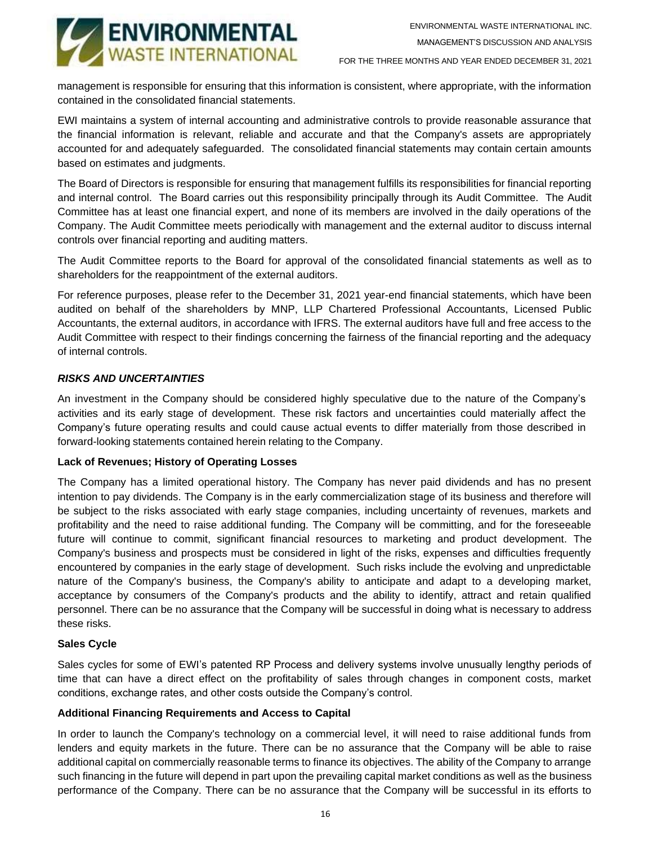ENVIRONMENTAL WASTE INTERNATIONAL INC. MANAGEMENT'S DISCUSSION AND ANALYSIS



FOR THE THREE MONTHS AND YEAR ENDED DECEMBER 31, 2021

management is responsible for ensuring that this information is consistent, where appropriate, with the information contained in the consolidated financial statements.

EWI maintains a system of internal accounting and administrative controls to provide reasonable assurance that the financial information is relevant, reliable and accurate and that the Company's assets are appropriately accounted for and adequately safeguarded. The consolidated financial statements may contain certain amounts based on estimates and judgments.

The Board of Directors is responsible for ensuring that management fulfills its responsibilities for financial reporting and internal control. The Board carries out this responsibility principally through its Audit Committee. The Audit Committee has at least one financial expert, and none of its members are involved in the daily operations of the Company. The Audit Committee meets periodically with management and the external auditor to discuss internal controls over financial reporting and auditing matters.

The Audit Committee reports to the Board for approval of the consolidated financial statements as well as to shareholders for the reappointment of the external auditors.

For reference purposes, please refer to the December 31, 2021 year-end financial statements, which have been audited on behalf of the shareholders by MNP, LLP Chartered Professional Accountants, Licensed Public Accountants, the external auditors, in accordance with IFRS. The external auditors have full and free access to the Audit Committee with respect to their findings concerning the fairness of the financial reporting and the adequacy of internal controls.

## *RISKS AND UNCERTAINTIES*

An investment in the Company should be considered highly speculative due to the nature of the Company's activities and its early stage of development. These risk factors and uncertainties could materially affect the Company's future operating results and could cause actual events to differ materially from those described in forward-looking statements contained herein relating to the Company.

#### **Lack of Revenues; History of Operating Losses**

The Company has a limited operational history. The Company has never paid dividends and has no present intention to pay dividends. The Company is in the early commercialization stage of its business and therefore will be subject to the risks associated with early stage companies, including uncertainty of revenues, markets and profitability and the need to raise additional funding. The Company will be committing, and for the foreseeable future will continue to commit, significant financial resources to marketing and product development. The Company's business and prospects must be considered in light of the risks, expenses and difficulties frequently encountered by companies in the early stage of development. Such risks include the evolving and unpredictable nature of the Company's business, the Company's ability to anticipate and adapt to a developing market, acceptance by consumers of the Company's products and the ability to identify, attract and retain qualified personnel. There can be no assurance that the Company will be successful in doing what is necessary to address these risks.

#### **Sales Cycle**

Sales cycles for some of EWI's patented RP Process and delivery systems involve unusually lengthy periods of time that can have a direct effect on the profitability of sales through changes in component costs, market conditions, exchange rates, and other costs outside the Company's control.

#### **Additional Financing Requirements and Access to Capital**

In order to launch the Company's technology on a commercial level, it will need to raise additional funds from lenders and equity markets in the future. There can be no assurance that the Company will be able to raise additional capital on commercially reasonable terms to finance its objectives. The ability of the Company to arrange such financing in the future will depend in part upon the prevailing capital market conditions as well as the business performance of the Company. There can be no assurance that the Company will be successful in its efforts to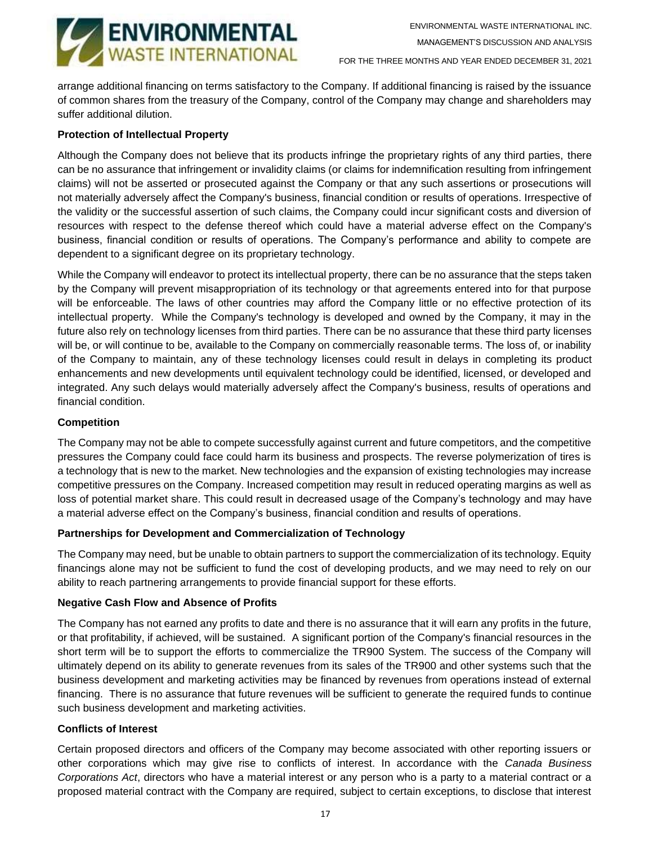

arrange additional financing on terms satisfactory to the Company. If additional financing is raised by the issuance of common shares from the treasury of the Company, control of the Company may change and shareholders may suffer additional dilution.

# **Protection of Intellectual Property**

Although the Company does not believe that its products infringe the proprietary rights of any third parties, there can be no assurance that infringement or invalidity claims (or claims for indemnification resulting from infringement claims) will not be asserted or prosecuted against the Company or that any such assertions or prosecutions will not materially adversely affect the Company's business, financial condition or results of operations. Irrespective of the validity or the successful assertion of such claims, the Company could incur significant costs and diversion of resources with respect to the defense thereof which could have a material adverse effect on the Company's business, financial condition or results of operations. The Company's performance and ability to compete are dependent to a significant degree on its proprietary technology.

While the Company will endeavor to protect its intellectual property, there can be no assurance that the steps taken by the Company will prevent misappropriation of its technology or that agreements entered into for that purpose will be enforceable. The laws of other countries may afford the Company little or no effective protection of its intellectual property. While the Company's technology is developed and owned by the Company, it may in the future also rely on technology licenses from third parties. There can be no assurance that these third party licenses will be, or will continue to be, available to the Company on commercially reasonable terms. The loss of, or inability of the Company to maintain, any of these technology licenses could result in delays in completing its product enhancements and new developments until equivalent technology could be identified, licensed, or developed and integrated. Any such delays would materially adversely affect the Company's business, results of operations and financial condition.

### **Competition**

The Company may not be able to compete successfully against current and future competitors, and the competitive pressures the Company could face could harm its business and prospects. The reverse polymerization of tires is a technology that is new to the market. New technologies and the expansion of existing technologies may increase competitive pressures on the Company. Increased competition may result in reduced operating margins as well as loss of potential market share. This could result in decreased usage of the Company's technology and may have a material adverse effect on the Company's business, financial condition and results of operations.

## **Partnerships for Development and Commercialization of Technology**

The Company may need, but be unable to obtain partners to support the commercialization of its technology. Equity financings alone may not be sufficient to fund the cost of developing products, and we may need to rely on our ability to reach partnering arrangements to provide financial support for these efforts.

#### **Negative Cash Flow and Absence of Profits**

The Company has not earned any profits to date and there is no assurance that it will earn any profits in the future, or that profitability, if achieved, will be sustained. A significant portion of the Company's financial resources in the short term will be to support the efforts to commercialize the TR900 System. The success of the Company will ultimately depend on its ability to generate revenues from its sales of the TR900 and other systems such that the business development and marketing activities may be financed by revenues from operations instead of external financing. There is no assurance that future revenues will be sufficient to generate the required funds to continue such business development and marketing activities.

## **Conflicts of Interest**

Certain proposed directors and officers of the Company may become associated with other reporting issuers or other corporations which may give rise to conflicts of interest. In accordance with the *Canada Business Corporations Act*, directors who have a material interest or any person who is a party to a material contract or a proposed material contract with the Company are required, subject to certain exceptions, to disclose that interest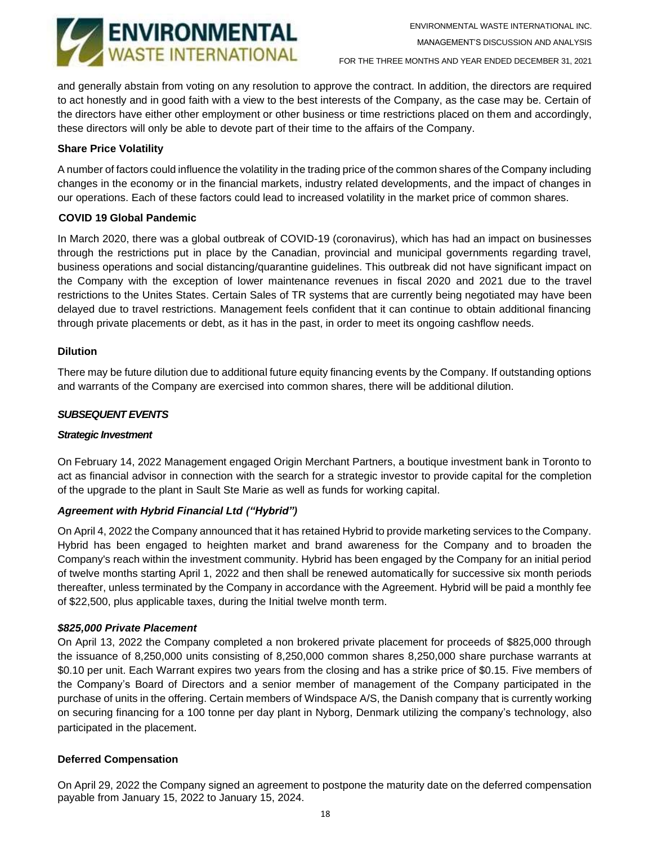

and generally abstain from voting on any resolution to approve the contract. In addition, the directors are required to act honestly and in good faith with a view to the best interests of the Company, as the case may be. Certain of the directors have either other employment or other business or time restrictions placed on them and accordingly, these directors will only be able to devote part of their time to the affairs of the Company.

## **Share Price Volatility**

A number of factors could influence the volatility in the trading price of the common shares of the Company including changes in the economy or in the financial markets, industry related developments, and the impact of changes in our operations. Each of these factors could lead to increased volatility in the market price of common shares.

## **COVID 19 Global Pandemic**

In March 2020, there was a global outbreak of COVID-19 (coronavirus), which has had an impact on businesses through the restrictions put in place by the Canadian, provincial and municipal governments regarding travel, business operations and social distancing/quarantine guidelines. This outbreak did not have significant impact on the Company with the exception of lower maintenance revenues in fiscal 2020 and 2021 due to the travel restrictions to the Unites States. Certain Sales of TR systems that are currently being negotiated may have been delayed due to travel restrictions. Management feels confident that it can continue to obtain additional financing through private placements or debt, as it has in the past, in order to meet its ongoing cashflow needs.

## **Dilution**

There may be future dilution due to additional future equity financing events by the Company. If outstanding options and warrants of the Company are exercised into common shares, there will be additional dilution.

# *SUBSEQUENT EVENTS*

## *Strategic Investment*

On February 14, 2022 Management engaged Origin Merchant Partners, a boutique investment bank in Toronto to act as financial advisor in connection with the search for a strategic investor to provide capital for the completion of the upgrade to the plant in Sault Ste Marie as well as funds for working capital.

# *Agreement with Hybrid Financial Ltd ("Hybrid")*

On April 4, 2022 the Company announced that it has retained Hybrid to provide marketing services to the Company. Hybrid has been engaged to heighten market and brand awareness for the Company and to broaden the Company's reach within the investment community. Hybrid has been engaged by the Company for an initial period of twelve months starting April 1, 2022 and then shall be renewed automatically for successive six month periods thereafter, unless terminated by the Company in accordance with the Agreement. Hybrid will be paid a monthly fee of \$22,500, plus applicable taxes, during the Initial twelve month term.

## *\$825,000 Private Placement*

On April 13, 2022 the Company completed a non brokered private placement for proceeds of \$825,000 through the issuance of 8,250,000 units consisting of 8,250,000 common shares 8,250,000 share purchase warrants at \$0.10 per unit. Each Warrant expires two years from the closing and has a strike price of \$0.15. Five members of the Company's Board of Directors and a senior member of management of the Company participated in the purchase of units in the offering. Certain members of Windspace A/S, the Danish company that is currently working on securing financing for a 100 tonne per day plant in Nyborg, Denmark utilizing the company's technology, also participated in the placement.

## **Deferred Compensation**

On April 29, 2022 the Company signed an agreement to postpone the maturity date on the deferred compensation payable from January 15, 2022 to January 15, 2024.